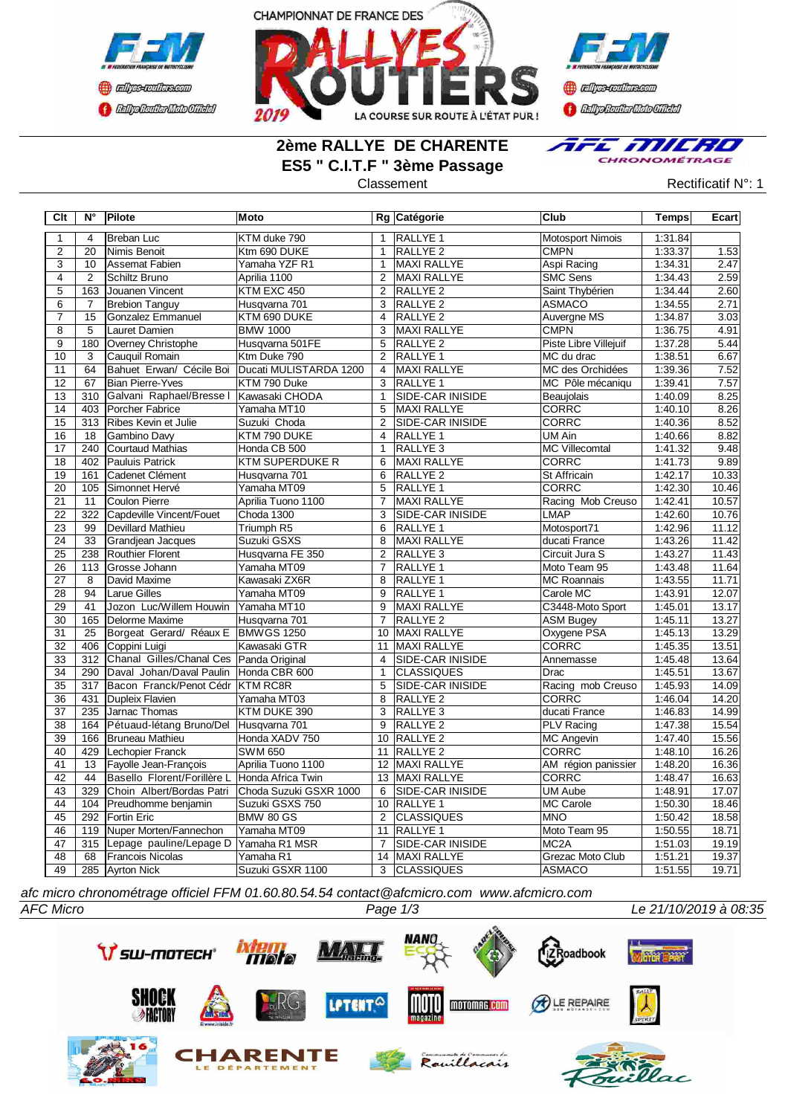





### **2ème RALLYE DE CHARENTE ES5 " C.I.T.F " 3ème Passage**



Classement Rectificatif N°: 1

| Clt             | Ν°             | Pilote                                           | Moto                             |                | Rg Catégorie                           | <b>Club</b>                       | Temps              | Ecart          |
|-----------------|----------------|--------------------------------------------------|----------------------------------|----------------|----------------------------------------|-----------------------------------|--------------------|----------------|
| $\mathbf{1}$    | 4              | Breban Luc                                       | KTM duke 790                     | $\mathbf{1}$   | <b>RALLYE 1</b>                        | <b>Motosport Nimois</b>           | 1:31.84            |                |
| $\overline{c}$  | 20             | Nimis Benoit                                     | Ktm 690 DUKE                     | $\mathbf{1}$   | <b>RALLYE 2</b>                        | <b>CMPN</b>                       | 1:33.37            | 1.53           |
| $\overline{3}$  | 10             | Assemat Fabien                                   | Yamaha YZF R1                    | $\mathbf{1}$   | <b>MAXI RALLYE</b>                     | Aspi Racing                       | 1:34.31            | 2.47           |
| $\overline{4}$  | 2              | Schiltz Bruno                                    | Aprilia 1100                     | 2              | MAXI RALLYE                            | <b>SMC Sens</b>                   | 1:34.43            | 2.59           |
| $\overline{5}$  | 163            | Jouanen Vincent                                  | KTM EXC 450                      | $\overline{2}$ | <b>RALLYE 2</b>                        | Saint Thybérien                   | 1:34.44            | 2.60           |
| 6               | 7              | <b>Brebion Tanguy</b>                            | Husqvarna 701                    | 3              | RALLYE <sub>2</sub>                    | <b>ASMACO</b>                     | 1:34.55            | 2.71           |
| $\overline{7}$  | 15             | Gonzalez Emmanuel                                | KTM 690 DUKE                     | $\overline{4}$ | <b>RALLYE 2</b>                        | Auvergne MS                       | 1:34.87            | 3.03           |
| $\overline{8}$  | $\overline{5}$ | Lauret Damien                                    | <b>BMW 1000</b>                  | $\overline{3}$ | <b>MAXI RALLYE</b>                     | <b>CMPN</b>                       | 1:36.75            | 4.91           |
| $\overline{9}$  | 180            | Overney Christophe                               | Husqvarna 501FE                  | 5              | <b>RALLYE 2</b>                        | Piste Libre Villejuif             | 1:37.28            | 5.44           |
| 10              | 3              | Cauquil Romain                                   | Ktm Duke 790                     | 2              | RALLYE 1                               | MC du drac                        | 1:38.51            | 6.67           |
| 11              | 64             | Bahuet Erwan/ Cécile Boi                         | Ducati MULISTARDA 1200           | $\overline{4}$ | MAXI RALLYE                            | MC des Orchidées                  | 1:39.36            | 7.52           |
| 12              | 67             | Bian Pierre-Yves                                 | KTM 790 Duke                     | 3              | <b>RALLYE 1</b>                        | MC Pôle mécaniqu                  | 1:39.41            | 7.57           |
| 13              | 310            | Galvani Raphael/Bresse   Kawasaki CHODA          |                                  | $\mathbf{1}$   | <b>SIDE-CAR INISIDE</b>                | Beaujolais                        | 1:40.09            | 8.25           |
| 14              | 403            | Porcher Fabrice                                  | Yamaha MT10                      | 5              | <b>MAXI RALLYE</b>                     | <b>CORRC</b>                      | 1:40.10            | 8.26           |
| 15              | 313            | Ribes Kevin et Julie                             | Suzuki Choda                     | $\overline{2}$ | SIDE-CAR INISIDE                       | <b>CORRC</b>                      | 1:40.36            | 8.52           |
| 16              | 18             | Gambino Davy                                     | KTM 790 DUKE                     | 4              | RALLYE <sub>1</sub>                    | <b>UM Ain</b>                     | 1:40.66            | 8.82           |
| $\overline{17}$ | 240            | Courtaud Mathias                                 | Honda CB 500                     | $\mathbf{1}$   | RALLYE <sub>3</sub>                    | <b>MC Villecomtal</b>             | 1:41.32            | 9.48           |
| 18              | 402            | Pauluis Patrick                                  | <b>KTM SUPERDUKE R</b>           | 6              | <b>MAXI RALLYE</b>                     | <b>CORRC</b>                      | 1:41.73            | 9.89           |
| 19              | 161            | Cadenet Clément                                  | Husqvarna 701                    | 6              | <b>RALLYE 2</b>                        | <b>St Affricain</b>               | 1:42.17            | 10.33          |
| $\overline{20}$ | 105            | Simonnet Hervé                                   | Yamaha MT09                      | 5              | <b>RALLYE 1</b>                        | <b>CORRC</b>                      | 1:42.30            | 10.46          |
| 21              | 11             | Coulon Pierre                                    | Aprilia Tuono 1100               | $\overline{7}$ | <b>MAXI RALLYE</b>                     | Racing Mob Creuso                 | 1:42.41            | 10.57          |
| $\overline{22}$ | 322            | Capdeville Vincent/Fouet                         | Choda 1300                       | $\overline{3}$ | <b>SIDE-CAR INISIDE</b>                | <b>LMAP</b>                       | 1:42.60            | 10.76          |
| 23              | 99             | Devillard Mathieu                                | Triumph R5                       | 6              | <b>RALLYE 1</b>                        | Motosport71                       | 1:42.96            | 11.12          |
| 24              | 33             | Grandiean Jacques                                | Suzuki GSXS                      | 8              | <b>MAXI RALLYE</b>                     | ducati France                     | 1:43.26            | 11.42          |
| 25              | 238            | Routhier Florent                                 | Husqvarna FE 350                 | $\overline{2}$ | RALLYE <sub>3</sub>                    | Circuit Jura S                    | 1:43.27            | 11.43          |
| 26              | 113            | <b>IGrosse Johann</b>                            | Yamaha MT09                      | $\overline{7}$ | <b>RALLYE 1</b>                        | Moto Team 95                      | 1:43.48            | 11.64          |
| 27              | 8              | David Maxime                                     | Kawasaki ZX6R                    | 8              | <b>RALLYE 1</b>                        | <b>MC Roannais</b>                | 1:43.55            | 11.71          |
| 28              | 94             | <b>Larue Gilles</b>                              | Yamaha MT09                      | 9              | <b>RALLYE 1</b>                        | Carole MC                         | 1:43.91            | 12.07          |
| 29              | 41             | Jozon Luc/Willem Houwin                          | Yamaha MT10                      | 9              | <b>MAXI RALLYE</b>                     | C3448-Moto Sport                  | 1:45.01            | 13.17          |
| 30              | 165            | Delorme Maxime                                   | Husqvarna 701                    | $\overline{7}$ | <b>RALLYE 2</b>                        | <b>ASM Bugey</b>                  | 1:45.11            | 13.27          |
| 31              | 25             | Borgeat Gerard/ Réaux E                          | BMWGS 1250                       |                | 10 MAXI RALLYE                         | Oxygene PSA                       | 1:45.13            | 13.29          |
| $\overline{32}$ | 406            | Coppini Luigi                                    | Kawasaki GTR                     |                | 11 MAXI RALLYE                         | CORRC                             | 1:45.35            | 13.51          |
| 33              | 312            | Chanal Gilles/Chanal Ces Panda Original          |                                  | $\overline{4}$ | <b>SIDE-CAR INISIDE</b>                | Annemasse                         | 1:45.48            | 13.64          |
| $\overline{34}$ | 290            | Daval Johan/Daval Paulin                         | Honda CBR 600                    | $\mathbf{1}$   | <b>CLASSIQUES</b>                      | Drac                              | 1:45.51            | 13.67          |
| 35              | 317            | Bacon Franck/Penot Cédr KTM RC8R                 |                                  | 5              | <b>SIDE-CAR INISIDE</b>                | Racing mob Creuso                 | 1:45.93            | 14.09          |
| $\overline{36}$ | 431            | Dupleix Flavien                                  | Yamaha MT03                      | $\overline{8}$ | <b>RALLYE 2</b>                        | <b>CORRC</b><br>ducati France     | 1:46.04            | 14.20          |
| $\overline{37}$ | 235            | Jarnac Thomas                                    | KTM DUKE 390                     | 3              | RALLYE <sub>3</sub>                    |                                   | 1:46.83            | 14.99          |
| 38              | 164            | Pétuaud-létang Bruno/Del Husqvarna 701           |                                  | $\overline{9}$ | <b>RALLYE 2</b>                        | <b>PLV Racing</b>                 | 1:47.38            | 15.54          |
| 39              | 166            | Bruneau Mathieu<br>Lechopier Franck              | Honda XADV 750<br><b>SWM 650</b> | 10             | RALLYE <sub>2</sub>                    | <b>MC Angevin</b><br><b>CORRC</b> | 1:47.40            | 15.56<br>16.26 |
| 40              | 429            |                                                  |                                  | 11             | <b>RALLYE 2</b>                        |                                   | 1:48.10            |                |
| 41              | 13             | Fayolle Jean-François                            | Aprilia Tuono 1100               | 12             | <b>MAXI RALLYE</b>                     | AM région panissier               | 1:48.20            | 16.36          |
| 42              | 44<br>329      | Basello Florent/Forillère L Honda Africa Twin    | Choda Suzuki GSXR 1000           | 13             | <b>MAXI RALLYE</b>                     | <b>CORRC</b><br><b>UM Aube</b>    | 1:48.47<br>1:48.91 | 16.63<br>17.07 |
| 43<br>44        | 104            | Choin Albert/Bordas Patri<br>Preudhomme benjamin | Suzuki GSXS 750                  | 6              | <b>SIDE-CAR INISIDE</b><br>10 RALLYE 1 | MC Carole                         | 1:50.30            | 18.46          |
| 45              | 292            | <b>Fortin Eric</b>                               | <b>BMW 80 GS</b>                 | $\overline{2}$ | <b>CLASSIQUES</b>                      | <b>MNO</b>                        | 1:50.42            | 18.58          |
| 46              | 119            | Nuper Morten/Fannechon                           | Yamaha MT09                      |                | 11 RALLYE 1                            | Moto Team 95                      | 1:50.55            | 18.71          |
| 47              | 315            | Lepage pauline/Lepage D                          | Yamaha R1 MSR                    | $\overline{7}$ | SIDE-CAR INISIDE                       | MC <sub>2</sub> A                 | 1:51.03            | 19.19          |
| $\overline{48}$ | 68             | <b>Francois Nicolas</b>                          | Yamaha R1                        | 14             | <b>MAXI RALLYE</b>                     | <b>Grezac Moto Club</b>           | 1:51.21            | 19.37          |
| 49              |                | 285 Ayrton Nick                                  | Suzuki GSXR 1100                 | 3              | <b>CLASSIQUES</b>                      | <b>ASMACO</b>                     | 1:51.55            | 19.71          |
|                 |                |                                                  |                                  |                |                                        |                                   |                    |                |

*afc micro chronométrage officiel FFM 01.60.80.54.54 contact@afcmicro.com www.afcmicro.com*

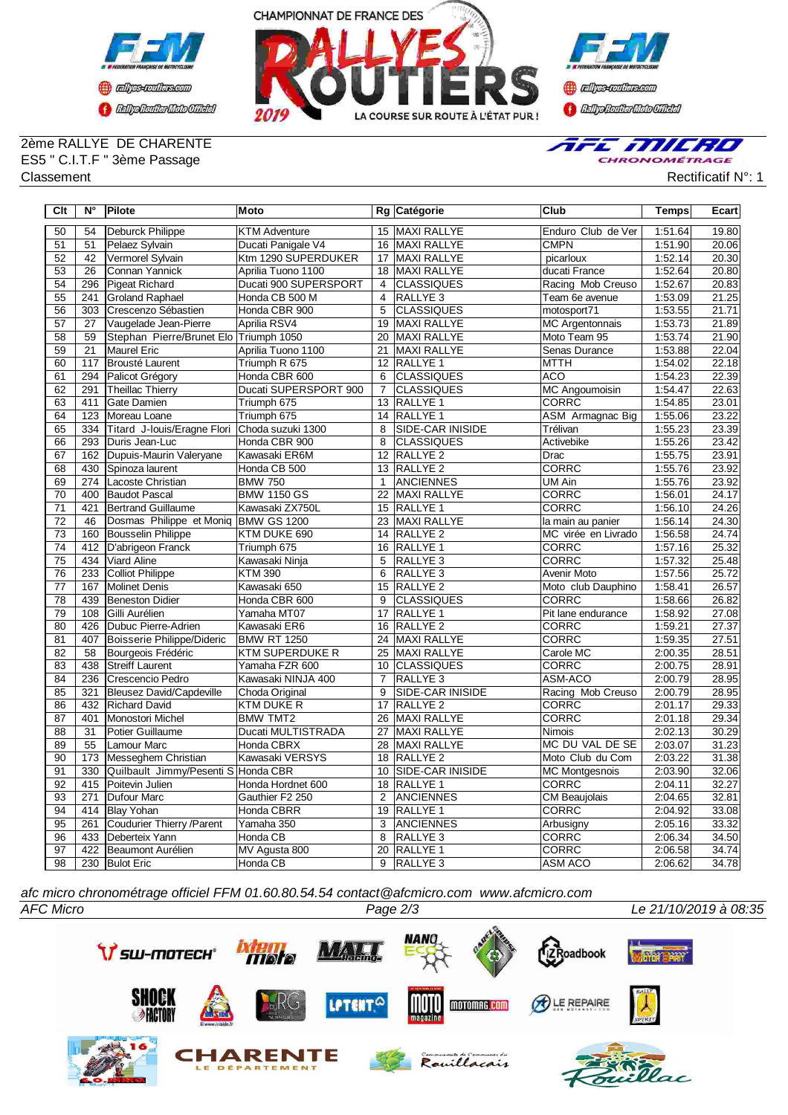



**Confederation CENTRAL MEDICATE** 

# 2ème RALLYE DE CHARENTE ES5 " C.I.T.F " 3ème Passage

AFE MILRO CHRONOMÉTRAGE

Classement **Rectificatif N°: 1** Classement

| Clt             | $N^{\circ}$     | Pilote                                 | Moto                        |                 | Rg Catégorie            | Club                   | <b>Temps</b> | Ecart |
|-----------------|-----------------|----------------------------------------|-----------------------------|-----------------|-------------------------|------------------------|--------------|-------|
| 50              | 54              | Deburck Philippe                       | <b>KTM Adventure</b>        | 15              | MAXI RALLYE             | Enduro Club de Ver     | 1:51.64      | 19.80 |
| 51              | 51              | Pelaez Sylvain                         | Ducati Panigale V4          |                 | 16 MAXI RALLYE          | CMPN                   | 1:51.90      | 20.06 |
| 52              | 42              | Vermorel Sylvain                       | Ktm 1290 SUPERDUKER         | 17              | <b>MAXI RALLYE</b>      | picarloux              | 1:52.14      | 20.30 |
| 53              | $\overline{26}$ | <b>Connan Yannick</b>                  | Aprilia Tuono 1100          | $\overline{18}$ | <b>MAXI RALLYE</b>      | ducati France          | 1:52.64      | 20.80 |
| $\overline{54}$ | 296             | Pigeat Richard                         | Ducati 900 SUPERSPORT       | $\overline{4}$  | <b>CLASSIQUES</b>       | Racing Mob Creuso      | 1:52.67      | 20.83 |
| 55              | 241             | <b>Groland Raphael</b>                 | Honda CB 500 M              | $\overline{4}$  | RALLYE <sub>3</sub>     | Team 6e avenue         | 1:53.09      | 21.25 |
| $\overline{56}$ | 303             | Crescenzo Sébastien                    | Honda CBR 900               | $\overline{5}$  | <b>CLASSIQUES</b>       | motosport71            | 1:53.55      | 21.71 |
| 57              | 27              | Vaugelade Jean-Pierre                  | Aprilia RSV4                | 19              | MAXI RALLYE             | <b>MC Argentonnais</b> | 1:53.73      | 21.89 |
| $\overline{58}$ | 59              | Stephan Pierre/Brunet Elo Triumph 1050 |                             | 20              | MAXI RALLYE             | Moto Team 95           | 1:53.74      | 21.90 |
| 59              | 21              | Maurel Eric                            | Aprilia Tuono 1100          | 21              | MAXI RALLYE             | Senas Durance          | 1:53.88      | 22.04 |
| 60              | 117             | Brousté Laurent                        | Triumph R 675               | 12              | RALLYE 1                | <b>MTTH</b>            | 1:54.02      | 22.18 |
| 61              | 294             | Palicot Grégory                        | Honda CBR 600               | 6               | <b>CLASSIQUES</b>       | <b>ACO</b>             | 1:54.23      | 22.39 |
| 62              | 291             | <b>Theillac Thierry</b>                | Ducati SUPERSPORT 900       | $\overline{7}$  | <b>CLASSIQUES</b>       | <b>MC Angoumoisin</b>  | 1:54.47      | 22.63 |
| 63              | 411             | Gate Damien                            | Triumph 675                 | 13              | <b>RALLYE 1</b>         | <b>CORRC</b>           | 1:54.85      | 23.01 |
| 64              | 123             | Moreau Loane                           | Triumph 675                 | 14              | RALLYE 1                | ASM Armagnac Big       | 1:55.06      | 23.22 |
| 65              | 334             | Titard J-Iouis/Eragne Flori            | Choda suzuki 1300           | 8               | SIDE-CAR INISIDE        | Trélivan               | 1:55.23      | 23.39 |
| 66              | 293             | Duris Jean-Luc                         | Honda CBR 900               | 8               | <b>CLASSIQUES</b>       | Activebike             | 1:55.26      | 23.42 |
| 67              | 162             | Dupuis-Maurin Valeryane                | Kawasaki ER6M               | 12              | RALLYE <sub>2</sub>     | Drac                   | 1:55.75      | 23.91 |
| 68              | 430             | Spinoza laurent                        | Honda CB 500                | 13              | RALLYE <sub>2</sub>     | <b>CORRC</b>           | 1:55.76      | 23.92 |
| 69              | 274             | Lacoste Christian                      | <b>BMW 750</b>              | $\mathbf{1}$    | <b>ANCIENNES</b>        | UM Ain                 | 1:55.76      | 23.92 |
| 70              | 400             | Baudot Pascal                          | <b>BMW 1150 GS</b>          | 22              | MAXI RALLYE             | <b>CORRC</b>           | 1:56.01      | 24.17 |
| 71              | 421             | <b>Bertrand Guillaume</b>              | Kawasaki ZX750L             | $\overline{15}$ | <b>RALLYE 1</b>         | <b>CORRC</b>           | 1:56.10      | 24.26 |
| $\overline{72}$ | 46              | Dosmas Philippe et Moniq BMW GS 1200   |                             | $\overline{23}$ | MAXI RALLYE             | la main au panier      | 1:56.14      | 24.30 |
| $\overline{73}$ | 160             | <b>Bousselin Philippe</b>              | KTM DUKE 690                | 14              | <b>RALLYE 2</b>         | MC virée en Livrado    | 1:56.58      | 24.74 |
| $\overline{74}$ | 412             | D'abrigeon Franck                      | Triumph 675                 | 16              | <b>RALLYE 1</b>         | <b>CORRC</b>           | 1:57.16      | 25.32 |
| 75              | 434             | Viard Aline                            | Kawasaki Ninja              | 5               | RALLYE 3                | CORRC                  | 1:57.32      | 25.48 |
| 76              | 233             | <b>Colliot Philippe</b>                | <b>KTM 390</b>              | 6               | RALLYE 3                | Avenir Moto            | 1:57.56      | 25.72 |
| 77              | 167             | Molinet Denis                          | Kawasaki 650                | 15              | RALLYE <sub>2</sub>     | Moto club Dauphino     | 1:58.41      | 26.57 |
| 78              | 439             | <b>Beneston Didier</b>                 | Honda CBR 600               | 9               | <b>CLASSIQUES</b>       | <b>CORRC</b>           | 1:58.66      | 26.82 |
| 79              | 108             | Gilli Aurélien                         | Yamaha MT07                 | 17              | RALLYE 1                | Pit lane endurance     | 1:58.92      | 27.08 |
| 80              | 426             | Dubuc Pierre-Adrien                    | Kawasaki ER6                | $\overline{16}$ | <b>RALLYE 2</b>         | <b>CORRC</b>           | 1:59.21      | 27.37 |
| 81              | 407             | Boisserie Philippe/Dideric             | <b>BMW RT 1250</b>          | $\overline{24}$ | <b>MAXI RALLYE</b>      | <b>CORRC</b>           | 1:59.35      | 27.51 |
| $\overline{82}$ | $\overline{58}$ | Bourgeois Frédéric                     | <b>KTM SUPERDUKE R</b>      | $\overline{25}$ | <b>MAXI RALLYE</b>      | Carole MC              | 2:00.35      | 28.51 |
| 83              | 438             | <b>Streiff Laurent</b>                 | Yamaha FZR 600              | 10              | <b>CLASSIQUES</b>       | <b>CORRC</b>           | 2:00.75      | 28.91 |
| 84              | 236             | Crescencio Pedro                       | Kawasaki NINJA 400          | $\overline{7}$  | <b>RALLYE 3</b>         | ASM-ACO                | 2:00.79      | 28.95 |
| 85              | 321             | <b>Bleusez David/Capdeville</b>        | Choda Original              | 9               | <b>SIDE-CAR INISIDE</b> | Racing Mob Creuso      | 2:00.79      | 28.95 |
| 86              | 432             | <b>Richard David</b>                   | <b>KTM DUKE R</b>           | 17              | <b>RALLYE 2</b>         | <b>CORRC</b>           | 2:01.17      | 29.33 |
| 87              | 401             | Monostori Michel                       | <b>BMW TMT2</b>             | 26              | MAXI RALLYE             | CORRC                  | 2:01.18      | 29.34 |
| 88              | 31              | Potier Guillaume                       | Ducati MULTISTRADA          | 27              | MAXI RALLYE             | Nimois                 | 2:02.13      | 30.29 |
| 89              | 55              | Lamour Marc                            | Honda CBRX                  | 28              | MAXI RALLYE             | MC DU VAL DE SE        | 2:03.07      | 31.23 |
| 90              | 173             | Messeghem Christian                    | Kawasaki VERSYS             | 18              | RALLYE <sub>2</sub>     | Moto Club du Com       | 2:03.22      | 31.38 |
| 91              | 330             | Quilbault Jimmy/Pesenti S Honda CBR    |                             | 10              | SIDE-CAR INISIDE        | <b>MC Montgesnois</b>  | 2:03.90      | 32.06 |
| 92              | 415             | Poitevin Julien                        | Honda Hordnet 600           | 18              | <b>RALLYE 1</b>         | <b>CORRC</b>           | 2:04.11      | 32.27 |
| 93              | 271             | Dufour Marc                            | Gauthier F <sub>2</sub> 250 | $\overline{2}$  | <b>ANCIENNES</b>        | <b>CM Beaujolais</b>   | 2:04.65      | 32.81 |
| 94              | 414             | <b>Blay Yohan</b>                      | <b>Honda CBRR</b>           | $\overline{19}$ | <b>RALLYE 1</b>         | <b>CORRC</b>           | 2:04.92      | 33.08 |
| 95              | 261             | Coudurier Thierry / Parent             | Yamaha 350                  | 3               | <b>ANCIENNES</b>        | Arbusigny              | 2:05.16      | 33.32 |
| 96              | 433             | Deberteix Yann                         | Honda CB                    | 8               | <b>RALLYE3</b>          | CORRC                  | 2:06.34      | 34.50 |
| 97              | 422             | Beaumont Aurélien                      | MV Agusta 800               | 20              | RALLYE 1                | CORRC                  | 2:06.58      | 34.74 |
| 98              |                 | 230 Bulot Eric                         | Honda CB                    | $\overline{9}$  | RALLYE <sub>3</sub>     | <b>ASM ACO</b>         | 2:06.62      | 34.78 |

*afc micro chronométrage officiel FFM 01.60.80.54.54 contact@afcmicro.com www.afcmicro.com*